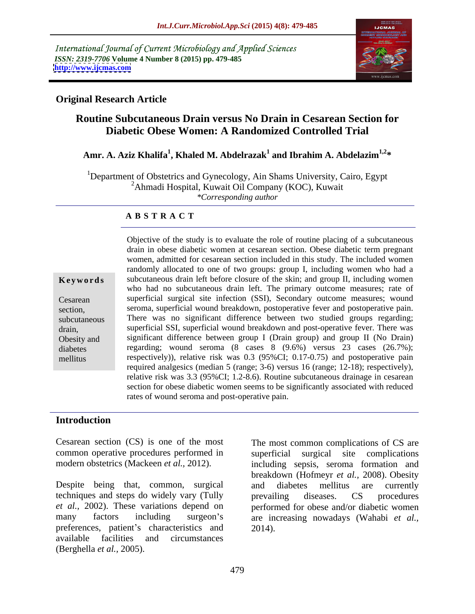International Journal of Current Microbiology and Applied Sciences *ISSN: 2319-7706* **Volume 4 Number 8 (2015) pp. 479-485 <http://www.ijcmas.com>**



### **Original Research Article**

# **Routine Subcutaneous Drain versus No Drain in Cesarean Section for Diabetic Obese Women: A Randomized Controlled Trial**

#### **Amr. A. Aziz Khalifa<sup>1</sup> , Khaled M. Abdelrazak<sup>1</sup> and Ibrahim A. Abdelazim1,2\***

<sup>1</sup>Department of Obstetrics and Gynecology, Ain Shams University, Cairo, Egypt  $^{2}$ Ahmadi Hospital, Kuwait Oil Company (KOC), Kuwait *\*Corresponding author*

#### **A B S T R A C T**

mellitus

Objective of the study is to evaluate the role of routine placing of a subcutaneous drain in obese diabetic women at cesarean section. Obese diabetic term pregnant women, admitted for cesarean section included in this study. The included women randomly allocated to one of two groups: group I, including women who had a subcutaneous drain left before closure of the skin; and group II, including women **Ke ywo rds** who had no subcutaneous drain left. The primary outcome measures; rate of superficial surgical site infection (SSI), Secondary outcome measures; wound Cesarean section, seroma, superficial wound breakdown, postoperative fever and postoperative pain. There was no significant difference between two studied groups regarding; subcutaneous superficial SSI, superficial wound breakdown and post-operative fever. There was drain, Obesity and significant difference between group I (Drain group) and group II (No Drain) regarding; wound seroma (8 cases 8 (9.6%) versus 23 cases (26.7%); diabetes respectively)), relative risk was 0.3 (95%CI; 0.17-0.75) and postoperative pain required analgesics (median 5 (range; 3-6) versus 16 (range; 12-18); respectively), relative risk was 3.3 (95%CI; 1.2-8.6). Routine subcutaneous drainage in cesarean section for obese diabetic women seems to be significantly associated with reduced rates of wound seroma and post-operative pain.

### **Introduction**

Cesarean section (CS) is one of the most The most common complications of CS are common operative procedures performed in

Despite being that, common, surgical and diabetes mellitus are currently techniques and steps do widely vary (Tully prevailing diseases. CS procedures preferences, patient's characteristics and 2014). available facilities and circumstances (Berghella *et al.,* 2005).

modern obstetrics (Mackeen *et al.*, 2012). 
including sepsis, seroma formation and *et al.,* 2002). These variations depend on performed for obese and/or diabetic women many factors including surgeon's are increasing nowadays (Wahabi *et al.,* surgical site complications breakdown (Hofmeyr *et al.,* 2008). Obesity and diabetes mellitus are currently prevailing diseases. CS procedures 2014).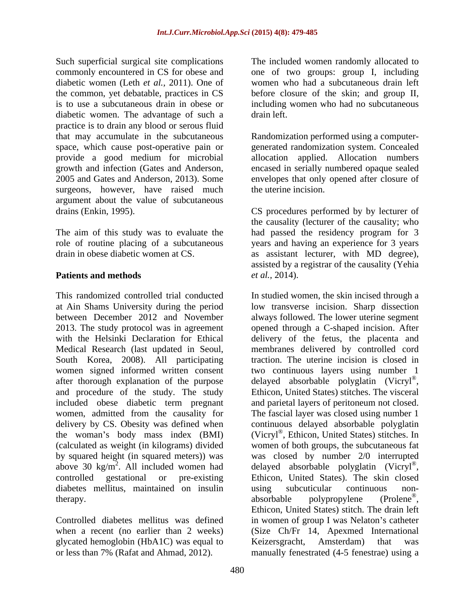Such superficial surgical site complications The included women randomly allocated to commonly encountered in CS for obese and one of two groups: group I, including diabetic women (Leth *et al.,* 2011). One of the common, yet debatable, practices in CS before closure of the skin; and group II, is to use a subcutaneous drain in obese or diabetic women. The advantage of such a drain left. practice is to drain any blood or serous fluid that may accumulate in the subcutaneous Randomization performed using a computer space, which cause post-operative pain or generated randomization system. Concealed provide a good medium for microbial growth and infection (Gates and Anderson, encased in serially numbered opaque sealed 2005 and Gates and Anderson, 2013). Some envelopes that only opened afterclosure of surgeons, however, have raised much the uterine incision. argument about the value of subcutaneous

South Korea, 2008). All participating and procedure of the study. The study included obese diabetic term pregnant the woman's body mass index (BMI) above 30 kg/m<sup>2</sup>. All included women had diabetes mellitus, maintained on insulin therapy. absorbable polypropylene (Prolene<sup>®</sup>,

glycated hemoglobin (HbA1C) was equal to Keizers gracht, Amsterdam) that was

women who had a subcutaneous drain left including women who had no subcutaneous drain left.

allocation applied. Allocation numbers the uterine incision.

drains (Enkin, 1995). CS procedures performed by by lecturer of The aim of this study was to evaluate the had passed the residency program for 3 role of routine placing of a subcutaneous years and having an experience for 3 years drain in obese diabetic women at CS. as assistant lecturer, with MD degree), **Patients and methods** *et al.*, 2014). the causality (lecturer of the causality; who assisted by a registrar of the causality (Yehia *et al.,* 2014).

This randomized controlled trial conducted In studied women, the skin incised through a at Ain Shams University during the period low transverse incision. Sharp dissection between December 2012 and November always followed. The lower uterine segment 2013. The study protocol was in agreement opened through a C-shaped incision. After with the Helsinki Declaration for Ethical delivery of the fetus, the placenta and Medical Research (last updated in Seoul, membranes delivered by controlled cord women signed informed written consent two continuous layers using number 1 after thorough explanation of the purpose delayed absorbable polyglatin (Vicryl®, women, admitted from the causality for The fascial layer was closed using number 1 delivery by CS. Obesity was defined when continuous delayed absorbable polyglatin (calculated as weight (in kilograms) divided women of both groups, the subcutaneous fat by squared height (in squared meters)) was was closed by number 2/0 interrupted . All included women had delayed absorbable polyglatin (Vicryl® controlled gestational or pre-existing Ethicon, United States). The skin closed Controlled diabetes mellitus was defined in women of group I was Nelaton's catheter when a recent (no earlier than 2 weeks) (Size Ch/Fr 14, Apexmed International or less than 7% (Rafat and Ahmad, 2012). manually fenestrated (4-5 fenestrae) using atraction. The uterine incision is closed in , Ethicon, United States) stitches. The visceral and parietal layers of peritoneum not closed. (Vicryl® , Ethicon, United States) stitches. In , using subcuticular continuous non absorbable polypropylene (Prolene®, , Ethicon, United States) stitch. The drain left Keizersgracht, Amsterdam) that was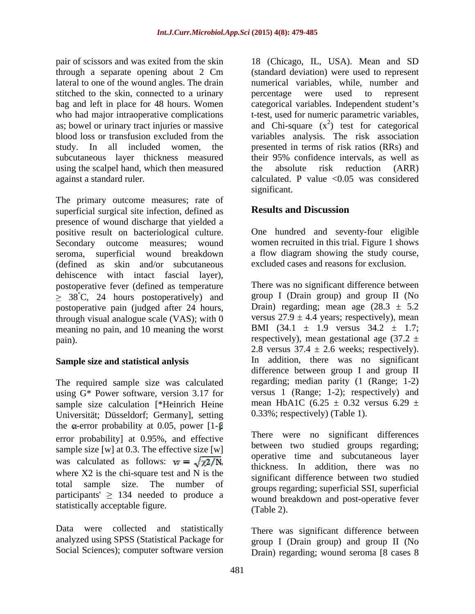stitched to the skin, connected to a urinary energy were used to represent who had major intraoperative complications subcutaneous layer thickness measured their 95% confidence intervals, as well as using the scalpel hand, which then measured the absolute risk reduction (ARR)

The primary outcome measures; rate of<br>superficial surgical site infection defined as **Results and Discussion** superficial surgical site infection, defined as presence of wound discharge that yielded a positive result on bacteriological culture. Secondary outcome measures; wound women recruited in this trial. Figure 1 shows seroma, superficial wound breakdown (defined as skin and/or subcutaneous dehiscence with intact fascial layer), postoperative fever (defined as temperature  $\geq$  38<sup>°</sup>C, 24 hours postoperatively) and postoperative pain (judged after 24 hours, through visual analogue scale (VAS); with 0 meaning no pain, and 10 meaning the worst pain). The respectively), mean gestational age  $(37.2 \pm 1)$ 

### **Sample size and statistical anlysis**

The required sample size was calculated using G\* Power software, version 3.17 for sample size calculation [\*Heinrich Heine Universität; Düsseldorf; Germany], setting the  $\alpha$ -error probability at 0.05, power [1- $\beta$ ] error probability] at 0.95%, and effective sample size [w] at 0.3. The effective size [w] was calculated as follows:  $w = \sqrt{\chi^2/N}$ , where X2 is the chi-square test and N is the participants'  $\geq$  134 needed to produce a statistically acceptable figure. (Table 2).

Data were collected and statistically There was significant difference between analyzed using SPSS (Statistical Package for Social Sciences); computer software version

pair of scissors and was exited from the skin 18 (Chicago, IL, USA). Mean and SD through a separate opening about 2 Cm (standard deviation) were used to represent lateral to one of the wound angles. The drain numerical variables, while, number and bag and left in place for 48 hours. Women categorical variables. Independent student's as; bowel or urinary tract injuries or massive and Chi-square  $(x^2)$  test for categorical blood loss or transfusion excluded from the variables analysis. The risk association study. In all included women, the presented in terms of risk ratios (RRs) and against a standard ruler. calculated. P value <0.05 was considered percentage were used to represent t-test, used for numeric parametric variables, their 95% confidence intervals, as well as the absolute risk reduction (ARR) significant.

# **Results and Discussion**

One hundred and seventy-four eligible a flow diagram showing the study course, excluded cases and reasons for exclusion.

There was no significant difference between group I (Drain group) and group II (No Drain) regarding; mean age  $(28.3 \pm 5.2)$ versus  $27.9 \pm 4.4$  years; respectively), mean BMI  $(34.1 \pm 1.9 \text{ versus } 34.2 \pm 1.7)$ ; 2.8 versus  $37.4 \pm 2.6$  weeks; respectively). In addition, there was no significant difference between group I and group II regarding; median parity (1 (Range; 1-2) versus 1 (Range; 1-2); respectively) and mean HbA1C (6.25  $\pm$  0.32 versus 6.29  $\pm$ 0.33%; respectively) (Table 1).

total sample size. The number of groups regarding; superficial SSI, superficial There were no significant differences between two studied groups regarding; operative time and subcutaneous layer thickness. In addition, there was no significant difference between two studied wound breakdown and post-operative fever (Table 2).

> group I (Drain group) and group II (No Drain) regarding; wound seroma [8 cases 8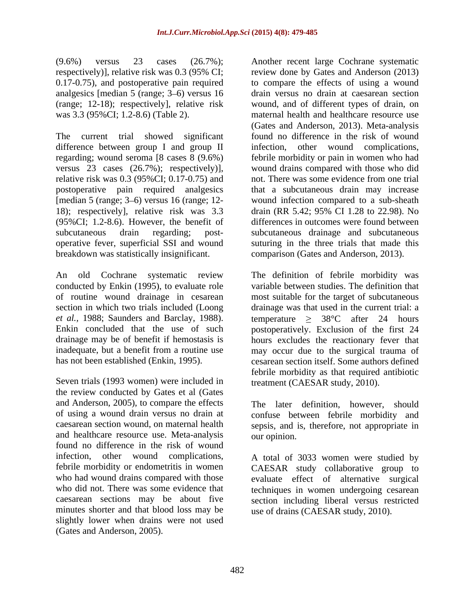(9.6%) versus 23 cases (26.7%); Another recent large Cochrane systematic respectively)], relative risk was 0.3 (95% CI; 0.17-0.75), and postoperative pain required analgesics [median 5 (range; 3 6) versus 16 drain versus no drain at caesarean section (range; 12-18); respectively], relative risk wound, and of different types of drain, on was 3.3 (95%CI; 1.2-8.6) (Table 2). maternal health and healthcare resource use

The current trial showed significant found no difference in the risk of wound difference between group I and group II infection, regarding; wound seroma [8 cases 8 (9.6%) febrile morbidity or pain in women who had versus 23 cases (26.7%); respectively)], wound drains compared with those who did relative risk was 0.3 (95%CI; 0.17-0.75) and not. There was some evidence from one trial postoperative pain required analgesics [median 5 (range;  $3-6$ ) versus 16 (range; 12-18); respectively], relative risk was 3.3 (95%CI; 1.2-8.6). However, the benefit of differences in outcomes were found between subcutaneous drain regarding; post- subcutaneous drainage and subcutaneous operative fever, superficial SSI and wound suturing in the three trials that made this breakdown was statistically insignificant. comparison (Gates and Anderson, 2013).

of routine wound drainage in cesarean

Seven trials (1993 women) were included in treatment (CAESAR study, 2010). the review conducted by Gates et al (Gates and Anderson, 2005), to compare the effects The later definition, however, should of using a wound drain versus no drain at confuse between febrile morbidity and caesarean section wound, on maternal health sepsis, and is, therefore, not appropriate in and healthcare resource use. Meta-analysis found no difference in the risk of wound infection, other wound complications, A total of 3033 women were studied by febrile morbidity or endometritis in women CAESAR study collaborative group to who had wound drains compared with those evaluate effect of alternative surgical who did not. There was some evidence that techniques in women undergoing cesarean caesarean sections may be about five section including liberal versus restricted minutes shorter and that blood loss may be slightly lower when drains were not used (Gates and Anderson, 2005).

review done by Gates and Anderson (2013) to compare the effects of using a wound (Gates and Anderson, 2013). Meta-analysis other wound complications, not. There was some evidence from one trial that a subcutaneous drain may increase wound infection compared to a sub-sheath drain (RR 5.42; 95% CI 1.28 to 22.98). No

An old Cochrane systematic review The definition of febrile morbidity was conducted by Enkin (1995), to evaluate role variable between studies. The definition that section in which two trials included (Loong drainage was that used in the current trial: a *et al.*, 1988; Saunders and Barclay, 1988). <br>temperature  $\geq 38^{\circ}\text{C}$  after 24 hours Enkin concluded that the use of such postoperatively. Exclusion of the first 24 drainage may be of benefit if hemostasis is hours excludes the reactionary fever that inadequate, but a benefit from a routine use may occur due to the surgical trauma of has not been established (Enkin, 1995). cesarean section itself. Some authors defined most suitable for the target of subcutaneous febrile morbidity as that required antibiotic treatment (CAESAR study, 2010).

our opinion.

use of drains (CAESAR study, 2010).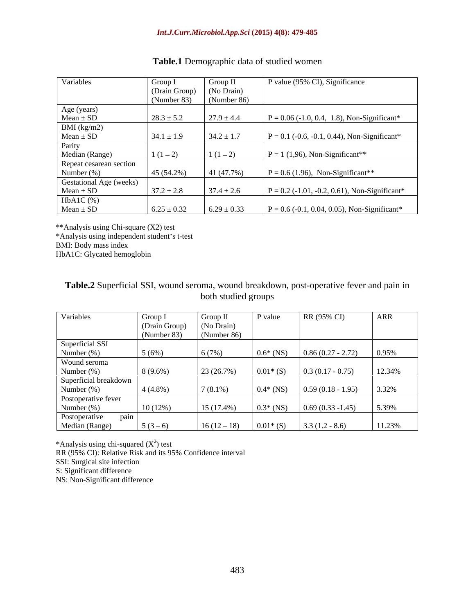| Variables                         | Group           | Group.          | P value (95% CI), Significance                 |
|-----------------------------------|-----------------|-----------------|------------------------------------------------|
|                                   | (Drain Group)   | (No Drain)      |                                                |
|                                   | (Number 83)     | (Number 86)     |                                                |
| Age (years)                       |                 |                 |                                                |
| $\frac{Mean \pm SD}{BMI (kg/m2)}$ | $28.3 \pm 5.2$  | $27.9 \pm 4.4$  | $P = 0.06$ (-1.0, 0.4, 1.8), Non-Significant*  |
|                                   |                 |                 |                                                |
| $Mean \pm SD$                     | $34.1 \pm 1.9$  | $34.2 \pm 1.7$  | $= 0.1$ (-0.6, -0.1, 0.44), Non-Significant*   |
| Parity                            |                 |                 |                                                |
| Median (Range)                    | $1(1-2)$        | $1(1-2)$        | $P = 1 (1,96)$ , Non-Significant**             |
| Repeat cesarean section           |                 |                 |                                                |
| Number $(\%)$                     | 45(54.2%)       | 41 (47.7%)      | $P = 0.6$ (1.96), Non-Significant**            |
| Gestational Age (weeks)           |                 |                 |                                                |
| $Mean \pm SD$                     | $37.2 \pm 2.8$  | $37.4 \pm 2.6$  | $= 0.2$ (-1.01, -0.2, 0.61), Non-Significant*  |
| $HbA1C$ (%)                       |                 |                 |                                                |
| $Mean \pm SD$                     | $6.25 \pm 0.32$ | $6.29 \pm 0.33$ | $P = 0.6$ (-0.1, 0.04, 0.05), Non-Significant* |

# **Table.1** Demographic data of studied women

\*\*Analysis using Chi-square (X2) test \*Analysis using independent student's t-test<br>BMI: Body mass index BMI: Body mass index HbA1C: Glycated hemoglobin

## **Table.2** Superficial SSI, wound seroma, wound breakdown, post-operative fever and pain in both studied groups **both** studied groups **both** studied groups **both** studied groups **both** studied groups **both** studied groups **both** studied groups **both** studied groups **both** studied groups **both** studied groups **bot**

| Variables                           | Group 1       | l Ciroun I    | P value     | RR (95% CI)                               | ARR    |
|-------------------------------------|---------------|---------------|-------------|-------------------------------------------|--------|
|                                     |               |               |             |                                           |        |
|                                     | (Drain Group) | (No Drain     |             |                                           |        |
|                                     | (Number 83)   | (Number 86)   |             |                                           |        |
| Superficial SSI                     |               |               |             |                                           |        |
| Number (%)                          | 5(6%)         | 6(7%)         | $0.6*$ (NS) | $0.86(0.27 - 2.72)$                       | 0.95%  |
| Wound seroma                        |               |               |             |                                           |        |
| Number (%)<br>Superficial breakdown | $8(9.6\%)$    | 23(26.7%)     |             | $0.01^*$ (S) $\qquad 0.3 \ (0.17 - 0.75)$ | 12.34% |
|                                     |               |               |             |                                           |        |
|                                     |               |               |             |                                           |        |
| Number (%)                          | $4(4.8\%)$    | $7(8.1\%)$    | $0.4*$ (NS) | $0.59(0.18 - 1.95)$                       | 3.32%  |
| Postoperative fever                 |               |               |             |                                           |        |
| Number (%)                          | $10(12\%)$    | $15(17.4\%)$  | $0.3*$ (NS) | $0.69(0.33 - 1.45)$                       | 5.39%  |
| nain                                |               |               |             |                                           |        |
| Postoperative<br>Median (Range)     | $5(3-6)$      | $16(12 - 18)$ |             | $0.01*(S)$ 3.3 (1.2 - 8.6)                | 11.23% |

\*Analysis using chi-squared  $(X^2)$  test ) test RR (95% CI): Relative Risk and its 95% Confidence interval SSI: Surgical site infection SSI: Surgical site infection **Secure 2.1 Secure 2.1 Secure 2.1 Secure 2.1 Secure 2.1 Secure 2.1 Secure 2.1 Secure 2.1 Secure 2.1 Secure 2.1 Secure 2.1 Secure 2.1 Secure 2.1 Secure 2.1 Secure 2.1 Secure 2.1 Secure 2.1 Secur** S: Significant difference **Secure 2.5 and 2.5 and 3.5 and 3.6 and 3.6 and 3.6 and 3.6 and 3.6 and 3.6 and 3.6 and 3.6 and 3.6 and 3.6 and 3.6 and 3.6 and 3.6 and 3.6 and 3.6 and 3.6 and 3.6 and 3.6 and 3.6 and 3.6 and 3.6** NS: Non-Significant difference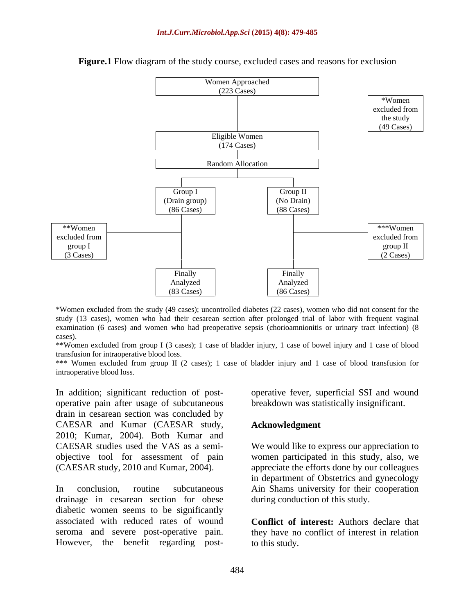

#### **Figure.1** Flow diagram of the study course, excluded cases and reasons for exclusion

\*Women excluded from the study (49 cases); uncontrolled diabetes (22 cases), women who did not consent for the study (13 cases), women who had their cesarean section after prolonged trial of labor with frequent vaginal examination (6 cases) and women who had preoperative sepsis (chorioamnionitis or urinary tract infection) (8 cases). cases).

\*\*Women excluded from group I (3 cases); 1 case of bladder injury, 1 case of bowel injury and 1 case of blood transfusion for intraoperative blood loss.

\*\*\* Women excluded from group II (2 cases); 1 case of bladder injury and 1 case of blood transfusion for intraoperative blood loss.

In addition; significant reduction of post-<br>operative fever, superficial SSI and wound operative pain after usage of subcutaneous drain in cesarean section was concluded by CAESAR and Kumar (CAESAR study, 2010; Kumar, 2004). Both Kumar and CAESAR studies used the VAS as a semi- We would like to express our appreciation to objective tool for assessment of pain women participated in this study, also, we In addition; significant reduction of post-<br>operative fever, superficial SSI and wound<br>brackin in cesarean section was concluded by<br>CAESAR and Kumar (CAESAR study,<br>2010; Kumar, 2004). Both Kumar and<br>CAESAR studies used the

In conclusion, routine subcutaneous Ain Shams university for their cooperation drainage in cesarean section for obese diabetic women seems to be significantly associated with reduced rates of wound seroma and severe post-operative pain. they have no conflict of interest in relation

breakdown was statistically insignificant.

#### **Acknowledgment**

(CAESAR study, 2010 and Kumar, 2004). appreciate the efforts done by our colleagues in department of Obstetrics and gynecology during conduction of this study.

> **Conflict of interest:** Authors declare that to this study.